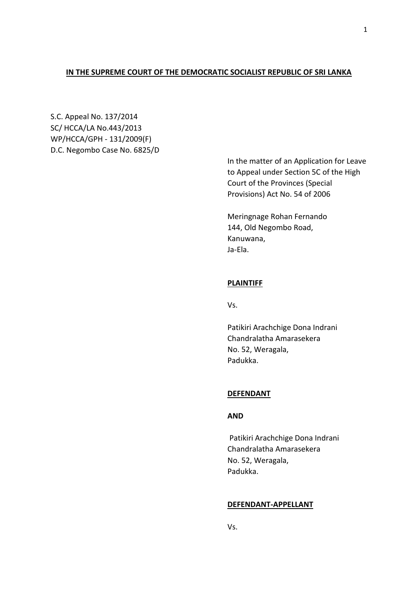# **IN THE SUPREME COURT OF THE DEMOCRATIC SOCIALIST REPUBLIC OF SRI LANKA**

S.C. Appeal No. 137/2014 SC/ HCCA/LA No.443/2013 WP/HCCA/GPH - 131/2009(F) D.C. Negombo Case No. 6825/D

> In the matter of an Application for Leave to Appeal under Section 5C of the High Court of the Provinces (Special Provisions) Act No. 54 of 2006

Meringnage Rohan Fernando 144, Old Negombo Road, Kanuwana, Ja-Ela.

# **PLAINTIFF**

Vs.

Patikiri Arachchige Dona Indrani Chandralatha Amarasekera No. 52, Weragala, Padukka.

### **DEFENDANT**

### **AND**

Patikiri Arachchige Dona Indrani Chandralatha Amarasekera No. 52, Weragala, Padukka.

### **DEFENDANT-APPELLANT**

Vs.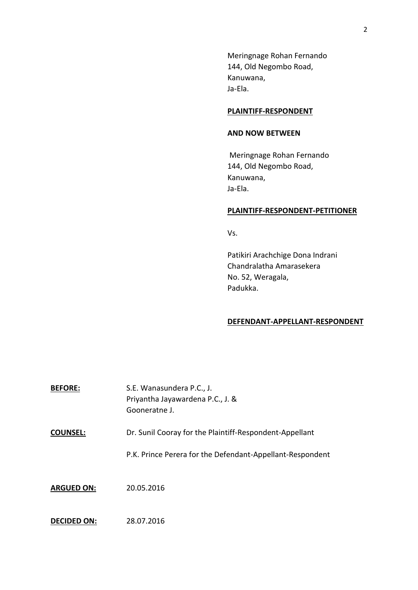Meringnage Rohan Fernando 144, Old Negombo Road, Kanuwana, Ja-Ela.

# **PLAINTIFF-RESPONDENT**

#### **AND NOW BETWEEN**

Meringnage Rohan Fernando 144, Old Negombo Road, Kanuwana, Ja-Ela.

### **PLAINTIFF-RESPONDENT-PETITIONER**

Vs.

Patikiri Arachchige Dona Indrani Chandralatha Amarasekera No. 52, Weragala, Padukka.

### **DEFENDANT-APPELLANT-RESPONDENT**

| <b>BEFORE:</b>     | S.E. Wanasundera P.C., J.<br>Priyantha Jayawardena P.C., J. &<br>Gooneratne J. |
|--------------------|--------------------------------------------------------------------------------|
| <b>COUNSEL:</b>    | Dr. Sunil Cooray for the Plaintiff-Respondent-Appellant                        |
|                    | P.K. Prince Perera for the Defendant-Appellant-Respondent                      |
| <b>ARGUED ON:</b>  | 20.05.2016                                                                     |
| <b>DECIDED ON:</b> | 28.07.2016                                                                     |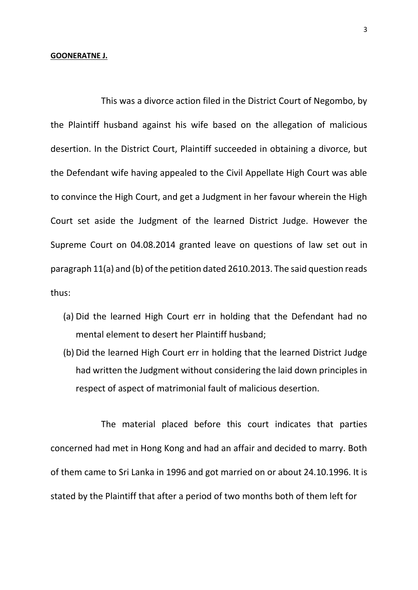### **GOONERATNE J.**

This was a divorce action filed in the District Court of Negombo, by the Plaintiff husband against his wife based on the allegation of malicious desertion. In the District Court, Plaintiff succeeded in obtaining a divorce, but the Defendant wife having appealed to the Civil Appellate High Court was able to convince the High Court, and get a Judgment in her favour wherein the High Court set aside the Judgment of the learned District Judge. However the Supreme Court on 04.08.2014 granted leave on questions of law set out in paragraph 11(a) and (b) of the petition dated 2610.2013. The said question reads thus:

- (a) Did the learned High Court err in holding that the Defendant had no mental element to desert her Plaintiff husband;
- (b) Did the learned High Court err in holding that the learned District Judge had written the Judgment without considering the laid down principles in respect of aspect of matrimonial fault of malicious desertion.

The material placed before this court indicates that parties concerned had met in Hong Kong and had an affair and decided to marry. Both of them came to Sri Lanka in 1996 and got married on or about 24.10.1996. It is stated by the Plaintiff that after a period of two months both of them left for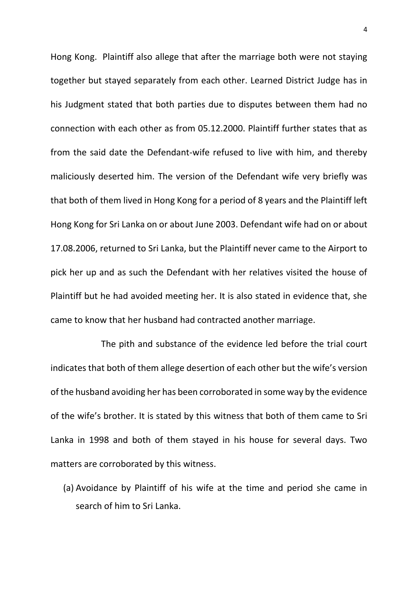Hong Kong. Plaintiff also allege that after the marriage both were not staying together but stayed separately from each other. Learned District Judge has in his Judgment stated that both parties due to disputes between them had no connection with each other as from 05.12.2000. Plaintiff further states that as from the said date the Defendant-wife refused to live with him, and thereby maliciously deserted him. The version of the Defendant wife very briefly was that both of them lived in Hong Kong for a period of 8 years and the Plaintiff left Hong Kong for Sri Lanka on or about June 2003. Defendant wife had on or about 17.08.2006, returned to Sri Lanka, but the Plaintiff never came to the Airport to pick her up and as such the Defendant with her relatives visited the house of Plaintiff but he had avoided meeting her. It is also stated in evidence that, she came to know that her husband had contracted another marriage.

The pith and substance of the evidence led before the trial court indicates that both of them allege desertion of each other but the wife's version of the husband avoiding her has been corroborated in some way by the evidence of the wife's brother. It is stated by this witness that both of them came to Sri Lanka in 1998 and both of them stayed in his house for several days. Two matters are corroborated by this witness.

(a) Avoidance by Plaintiff of his wife at the time and period she came in search of him to Sri Lanka.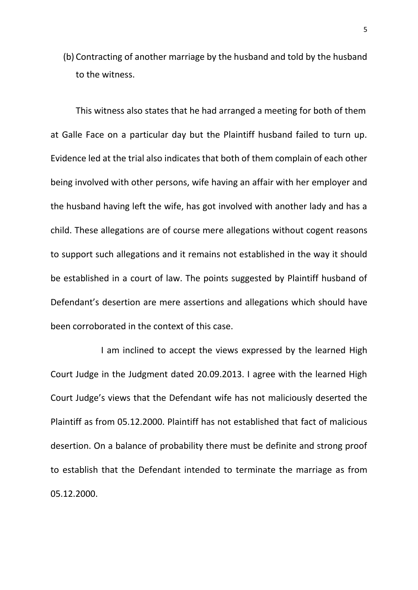(b) Contracting of another marriage by the husband and told by the husband to the witness.

This witness also states that he had arranged a meeting for both of them at Galle Face on a particular day but the Plaintiff husband failed to turn up. Evidence led at the trial also indicates that both of them complain of each other being involved with other persons, wife having an affair with her employer and the husband having left the wife, has got involved with another lady and has a child. These allegations are of course mere allegations without cogent reasons to support such allegations and it remains not established in the way it should be established in a court of law. The points suggested by Plaintiff husband of Defendant's desertion are mere assertions and allegations which should have been corroborated in the context of this case.

I am inclined to accept the views expressed by the learned High Court Judge in the Judgment dated 20.09.2013. I agree with the learned High Court Judge's views that the Defendant wife has not maliciously deserted the Plaintiff as from 05.12.2000. Plaintiff has not established that fact of malicious desertion. On a balance of probability there must be definite and strong proof to establish that the Defendant intended to terminate the marriage as from 05.12.2000.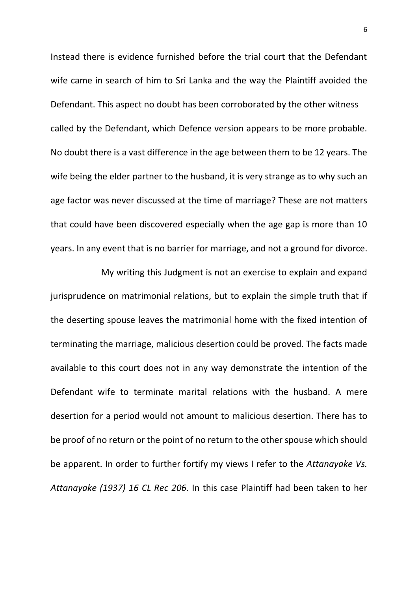Instead there is evidence furnished before the trial court that the Defendant wife came in search of him to Sri Lanka and the way the Plaintiff avoided the Defendant. This aspect no doubt has been corroborated by the other witness called by the Defendant, which Defence version appears to be more probable. No doubt there is a vast difference in the age between them to be 12 years. The wife being the elder partner to the husband, it is very strange as to why such an age factor was never discussed at the time of marriage? These are not matters that could have been discovered especially when the age gap is more than 10 years. In any event that is no barrier for marriage, and not a ground for divorce.

My writing this Judgment is not an exercise to explain and expand jurisprudence on matrimonial relations, but to explain the simple truth that if the deserting spouse leaves the matrimonial home with the fixed intention of terminating the marriage, malicious desertion could be proved. The facts made available to this court does not in any way demonstrate the intention of the Defendant wife to terminate marital relations with the husband. A mere desertion for a period would not amount to malicious desertion. There has to be proof of no return or the point of no return to the other spouse which should be apparent. In order to further fortify my views I refer to the *Attanayake Vs. Attanayake (1937) 16 CL Rec 206*. In this case Plaintiff had been taken to her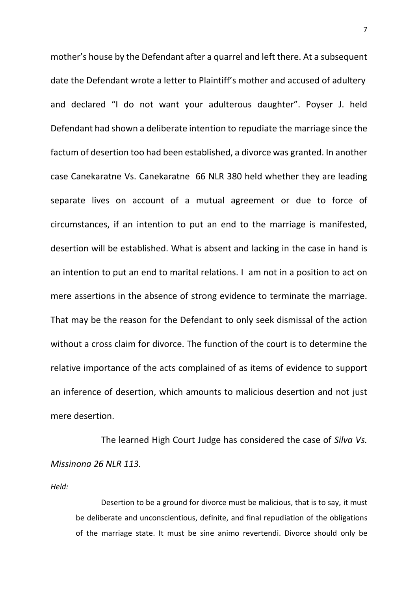mother's house by the Defendant after a quarrel and left there. At a subsequent date the Defendant wrote a letter to Plaintiff's mother and accused of adultery and declared "I do not want your adulterous daughter". Poyser J. held Defendant had shown a deliberate intention to repudiate the marriage since the factum of desertion too had been established, a divorce was granted. In another case Canekaratne Vs. Canekaratne 66 NLR 380 held whether they are leading separate lives on account of a mutual agreement or due to force of circumstances, if an intention to put an end to the marriage is manifested, desertion will be established. What is absent and lacking in the case in hand is an intention to put an end to marital relations. I am not in a position to act on mere assertions in the absence of strong evidence to terminate the marriage. That may be the reason for the Defendant to only seek dismissal of the action without a cross claim for divorce. The function of the court is to determine the relative importance of the acts complained of as items of evidence to support an inference of desertion, which amounts to malicious desertion and not just mere desertion.

The learned High Court Judge has considered the case of *Silva Vs. Missinona 26 NLR 113.* 

*Held:*

Desertion to be a ground for divorce must be malicious, that is to say, it must be deliberate and unconscientious, definite, and final repudiation of the obligations of the marriage state. It must be sine animo revertendi. Divorce should only be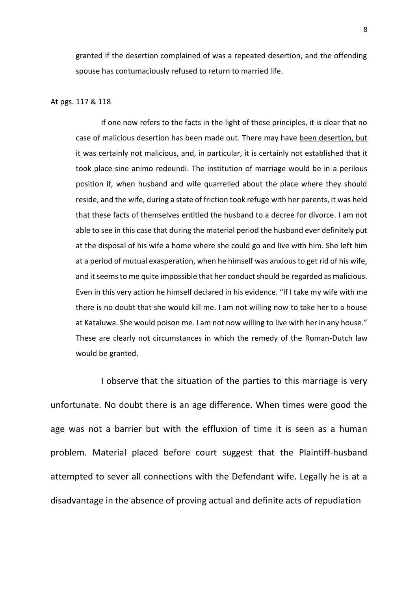granted if the desertion complained of was a repeated desertion, and the offending spouse has contumaciously refused to return to married life.

#### At pgs. 117 & 118

If one now refers to the facts in the light of these principles, it is clear that no case of malicious desertion has been made out. There may have been desertion, but it was certainly not malicious, and, in particular, it is certainly not established that it took place sine animo redeundi. The institution of marriage would be in a perilous position if, when husband and wife quarrelled about the place where they should reside, and the wife, during a state of friction took refuge with her parents, it was held that these facts of themselves entitled the husband to a decree for divorce. I am not able to see in this case that during the material period the husband ever definitely put at the disposal of his wife a home where she could go and live with him. She left him at a period of mutual exasperation, when he himself was anxious to get rid of his wife, and it seems to me quite impossible that her conduct should be regarded as malicious. Even in this very action he himself declared in his evidence. "If I take my wife with me there is no doubt that she would kill me. I am not willing now to take her to a house at Kataluwa. She would poison me. I am not now willing to live with her in any house." These are clearly not circumstances in which the remedy of the Roman-Dutch law would be granted.

I observe that the situation of the parties to this marriage is very unfortunate. No doubt there is an age difference. When times were good the age was not a barrier but with the effluxion of time it is seen as a human problem. Material placed before court suggest that the Plaintiff-husband attempted to sever all connections with the Defendant wife. Legally he is at a disadvantage in the absence of proving actual and definite acts of repudiation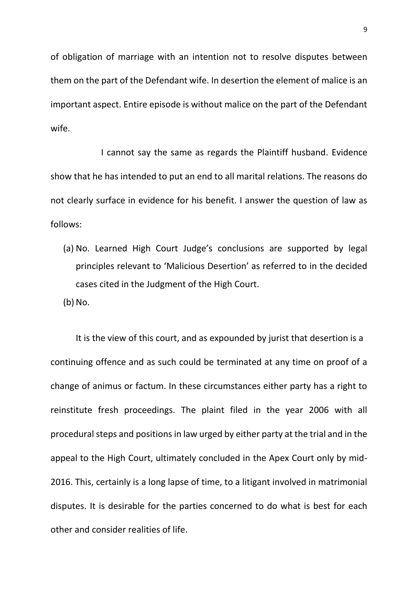of obligation of marriage with an intention not to resolve disputes between them on the part of the Defendant wife. In desertion the element of malice is an important aspect. Entire episode is without malice on the part of the Defendant wife.

I cannot say the same as regards the Plaintiff husband. Evidence show that he has intended to put an end to all marital relations. The reasons do not clearly surface in evidence for his benefit. I answer the question of law as follows:

- (a) No. Learned High Court Judge's conclusions are supported by legal principles relevant to 'Malicious Desertion' as referred to in the decided cases cited in the Judgment of the High Court.
- $(b)$  No.

It is the view of this court, and as expounded by jurist that desertion is a continuing offence and as such could be terminated at any time on proof of a change of animus or factum. In these circumstances either party has a right to reinstitute fresh proceedings. The plaint filed in the year 2006 with all procedural steps and positions in law urged by either party at the trial and in the appeal to the High Court, ultimately concluded in the Apex Court only by mid-2016. This, certainly is a long lapse of time, to a litigant involved in matrimonial disputes. It is desirable for the parties concerned to do what is best for each other and consider realities of life.